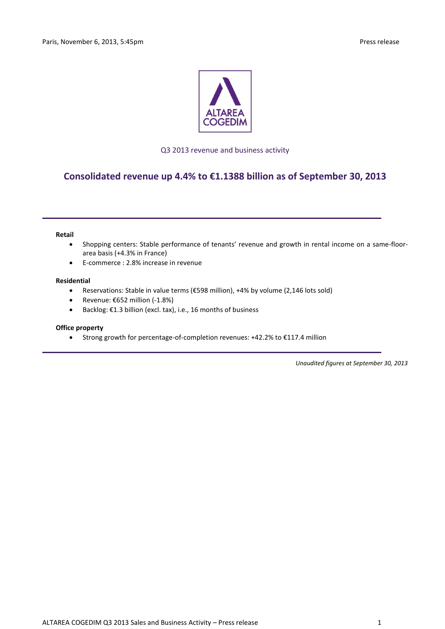

## Q3 2013 revenue and business activity

# **Consolidated revenue up 4.4% to €1.1388 billion as of September 30, 2013**

### **Retail**

- Shopping centers: Stable performance of tenants' revenue and growth in rental income on a same-floorarea basis (+4.3% in France)
- E-commerce : 2.8% increase in revenue

## **Residential**

- Reservations: Stable in value terms (€598 million), +4% by volume (2,146 lots sold)
- $\bullet$  Revenue: €652 million (-1.8%)
- Backlog: €1.3 billion (excl. tax), i.e., 16 months of business

## **Office property**

Strong growth for percentage-of-completion revenues: +42.2% to €117.4 million

*Unaudited figures at September 30, 2013*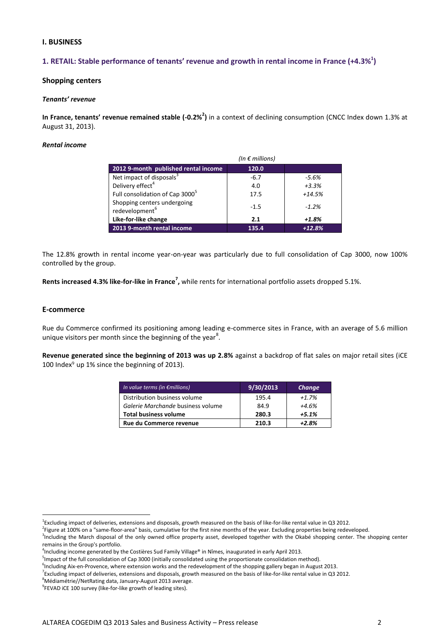## **I. BUSINESS**

## **1. RETAIL: Stable performance of tenants' revenue and growth in rental income in France (+4.3%<sup>1</sup> )**

## **Shopping centers**

### *Tenants' revenue*

In France, tenants' revenue remained stable (-0.2%<sup>2</sup>) in a context of declining consumption (CNCC Index down 1.3% at August 31, 2013).

## *Rental income*

|                                                           | (In $\epsilon$ millions) |          |
|-----------------------------------------------------------|--------------------------|----------|
| 2012 9-month published rental income                      | 120.0                    |          |
| Net impact of disposals <sup>3</sup>                      | $-6.7$                   | $-5.6%$  |
| Delivery effect <sup>4</sup>                              | 4.0                      | $+3.3%$  |
| Full consolidation of Cap 3000 <sup>5</sup>               | 17.5                     | $+14.5%$ |
| Shopping centers undergoing<br>redevelopment <sup>6</sup> | $-1.5$                   | $-1.2%$  |
| Like-for-like change                                      | 2.1                      | $+1.8%$  |
| 2013 9-month rental income                                | 135.4                    | $+12.8%$ |

The 12.8% growth in rental income year-on-year was particularly due to full consolidation of Cap 3000, now 100% controlled by the group.

Rents increased 4.3% like-for-like in France<sup>7</sup>, while rents for international portfolio assets dropped 5.1%.

## **E-commerce**

1

Rue du Commerce confirmed its positioning among leading e-commerce sites in France, with an average of 5.6 million unique visitors per month since the beginning of the year<sup>8</sup>.

**Revenue generated since the beginning of 2013 was up 2.8%** against a backdrop of flat sales on major retail sites (iCE 100 Index<sup>9</sup> up 1% since the beginning of 2013).

| In value terms (in $\epsilon$ millions) | 9/30/2013 | Change  |
|-----------------------------------------|-----------|---------|
| Distribution business volume            | 195.4     | $+1.7%$ |
| Galerie Marchande business volume       | 84.9      | $+4.6%$ |
| <b>Total business volume</b>            | 280.3     | $+5.1%$ |
| Rue du Commerce revenue                 | 210.3     | +2.8%   |

<sup>&</sup>lt;sup>1</sup>Excluding impact of deliveries, extensions and disposals, growth measured on the basis of like-for-like rental value in Q3 2012.

<sup>&</sup>lt;sup>2</sup>Figure at 100% on a "same-floor-area" basis, cumulative for the first nine months of the year. Excluding properties being redeveloped.

<sup>&</sup>lt;sup>3</sup>Including the March disposal of the only owned office property asset, developed together with the Okabé shopping center. The shopping center remains in the Group's portfolio.

<sup>4</sup> Including income generated by the Costières Sud Family Village® in Nîmes, inaugurated in early April 2013.

<sup>&</sup>lt;sup>5</sup>Impact of the full consolidation of Cap 3000 (initially consolidated using the proportionate consolidation method).

<sup>&</sup>lt;sup>6</sup>Including Aix-en-Provence, where extension works and the redevelopment of the shopping gallery began in August 2013.

<sup>&</sup>lt;sup>7</sup> Excluding impact of deliveries, extensions and disposals, growth measured on the basis of like-for-like rental value in Q3 2012.

 $8$ Médiamétrie//NetRating data, January-August 2013 average.

<sup>&</sup>lt;sup>9</sup>FEVAD iCE 100 survey (like-for-like growth of leading sites).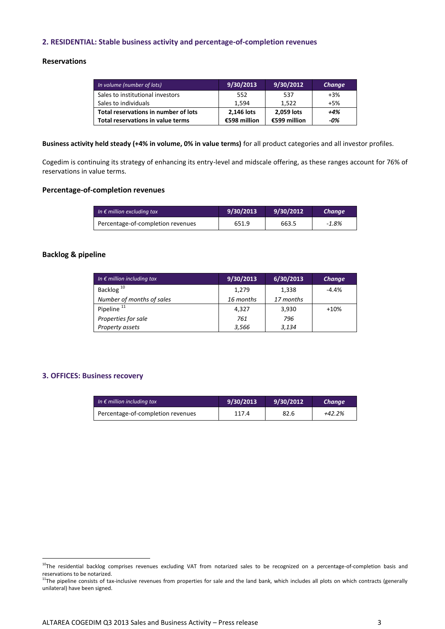## **2. RESIDENTIAL: Stable business activity and percentage-of-completion revenues**

## **Reservations**

| In volume (number of lots)           | 9/30/2013    | 9/30/2012    | Change |
|--------------------------------------|--------------|--------------|--------|
| Sales to institutional investors     | 552          | 537          | $+3%$  |
| Sales to individuals                 | 1.594        | 1.522        | $+5%$  |
| Total reservations in number of lots | 2,146 lots   | 2,059 lots   | $+4%$  |
| Total reservations in value terms    | €598 million | €599 million | -0%    |

**Business activity held steady (+4% in volume, 0% in value terms)** for all product categories and all investor profiles.

Cogedim is continuing its strategy of enhancing its entry-level and midscale offering, as these ranges account for 76% of reservations in value terms.

## **Percentage-of-completion revenues**

| In $\epsilon$ million excluding tax | 9/30/2013 | 9/30/2012 | Change   |
|-------------------------------------|-----------|-----------|----------|
| Percentage-of-completion revenues   | 651.9     | 663.5     | $-1.8\%$ |

## **Backlog & pipeline**

| In $\epsilon$ million including tax | 9/30/2013 | 6/30/2013 | <b>Change</b> |
|-------------------------------------|-----------|-----------|---------------|
| Backlog <sup>10</sup>               | 1,279     | 1,338     | $-4.4%$       |
| Number of months of sales           | 16 months | 17 months |               |
| Pipeline <sup>11</sup>              | 4,327     | 3,930     | $+10%$        |
| Properties for sale                 | 761       | 796       |               |
| Property assets                     | 3,566     | 3,134     |               |

## **3. OFFICES: Business recovery**

<u>.</u>

| In $\epsilon$ million including tax | 9/30/2013 | 9/30/2012 | Change |
|-------------------------------------|-----------|-----------|--------|
| Percentage-of-completion revenues   | 117.4     | 82.6      | +42.2% |

<sup>&</sup>lt;sup>10</sup>The residential backlog comprises revenues excluding VAT from notarized sales to be recognized on a percentage-of-completion basis and reservations to be notarized.

 $11$ The pipeline consists of tax-inclusive revenues from properties for sale and the land bank, which includes all plots on which contracts (generally unilateral) have been signed.